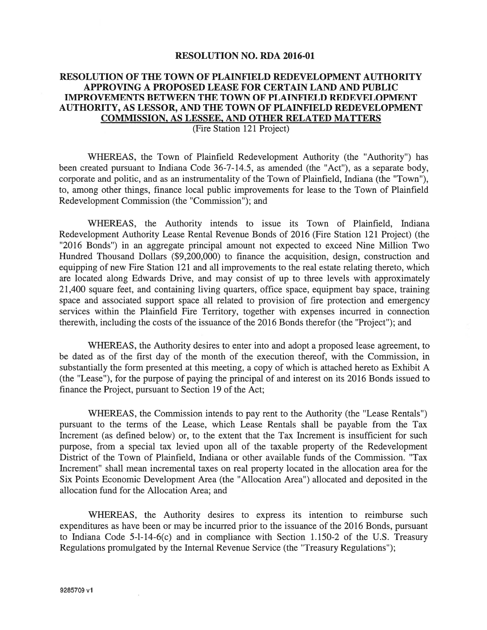#### RESOLUTION NO. RDA 2016-01

## RESOLUTION OF THE TOWN OF PLAINFIELD REDEVELOPMENT AUTHORITY APPROVING A PROPOSED LEASE FOR CERTAIN LAND AND PUBLIC IMPROVEMENTS BETWEEN THE TOWN OF PLAINFIELD REDEVELOPMENT AUTHORITY, AS LESSOR, AND THE TOWN OF PLAINFIELD REDEVELOPMENT COMMISSION, AS LESSEE, AND OTHER RELATED MATTERS

(Fire Station 121 Project)

WHEREAS, the Town of Plainfield Redevelopment Authority (the "Authority") has been created pursuan<sup>t</sup> to Indiana Code 36-7-14.5, as amended (the "Act"), as <sup>a</sup> separate body, corporate and politic, and as an instrumentality of the Town of Plainfield, Indiana (the "Town"), to, among other things, finance local public improvements for lease to the Town of Plainfield Redevelopment Commission (the "Commission"); and

WHEREAS, the Authority intends to issue its Town of Plainfield, Indiana Redevelopment Authority Lease Rental Revenue Bonds of 2016 (Fire Station 121 Project) (the "2016 Bonds") in an aggregate principal amount not expected to exceed Nine Million Two Hundred Thousand Dollars (\$9,200,000) to finance the acquisition, design, construction and equipping of new Fire Station 121 and all improvements to the real estate relating thereto, which are located along Edwards Drive, and may consist of up to three levels with approximately 21,400 square feet, and containing living quarters, office space, equipment bay space, training space and associated suppor<sup>t</sup> space all related to provision of fire protection and emergency services within the Plainfield Fire Territory, together with expenses incurred in connection therewith, including the costs of the issuance of the 2016 Bonds therefor (the "Project"); and

WHEREAS, the Authority desires to enter into and adopt <sup>a</sup> proposed lease agreement, to be dated as of the first day of the month of the execution thereof, with the Commission, in substantially the form presented at this meeting, <sup>a</sup> copy of which is attached hereto as Exhibit A (the "Lease"), for the purpose of paying the principal of and interest on its 2016 Bonds issued to finance the Project, pursuan<sup>t</sup> to Section 19 of the Act;

WHEREAS, the Commission intends to pay rent to the Authority (the "Lease Rentals") pursuan<sup>t</sup> to the terms of the Lease, which Lease Rentals shall be payable from the Tax Increment (as defined below) or, to the extent that the Tax Increment is insufficient for such purpose, from <sup>a</sup> special tax levied upon all of the taxable property of the Redevelopment District of the Town of Plainfield, Indiana or other available funds of the Commission. "Tax Increment" shall mean incremental taxes on real property located in the allocation area for the Six Points Economic Development Area (the "Allocation Area") allocated and deposited in the allocation fund for the Allocation Area; and

WHEREAS, the Authority desires to express its intention to reimburse such expenditures as have been or may be incurred prior to the issuance of the 2016 Bonds, pursuan<sup>t</sup> to Indiana Code 5-1-14-6(c) and in compliance with Section 1.150-2 of the U.S. Treasury Regulations promulgated by the Internal Revenue Service (the "Treasury Regulations");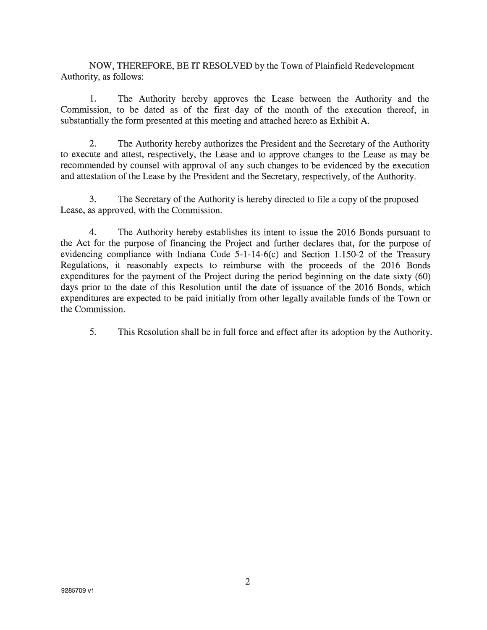NOW, THEREFORE, BE if RESOLVED by the Town of Plainfield Redevelopment Authority, as follows:

1. The Authority hereby approves the Lease between the Authority and the Commission, to be dated as of the first day of the month of the execution thereof, in substantially the form presented at this meeting and attached hereto as Exhibit A.

2. The Authority hereby authorizes the President and the Secretary of the Authority to execute and attest, respectively, the Lease and to approve changes to the Lease as may be recommended by counsel with approval of any such changes to be evidenced by the execution and attestation of the Lease by the President and the Secretary, respectively, of the Authority.

3. The Secretary of the Authority is hereby directed to file <sup>a</sup> copy of the proposed Lease, as approved, with the Commission.

4. The Authority hereby establishes its intent to issue the 2016 Bonds pursuan<sup>t</sup> to the Act for the purpose of financing the Project and further declares that, for the purpose of evidencing compliance with Indiana Code 5-1-14-6(c) and Section 1.150-2 of the Treasury Regulations, it reasonably expects to reimburse with the proceeds of the 2016 Bonds expenditures for the paymen<sup>t</sup> of the Project during the period beginning on the date sixty (60) days prior to the date of this Resolution until the date of issuance of the 2016 Bonds, which expenditures are expected to be paid initially from other legally available funds of the Town or the Commission.

5. This Resolution shall be in full force and effect after its adoption by the Authority.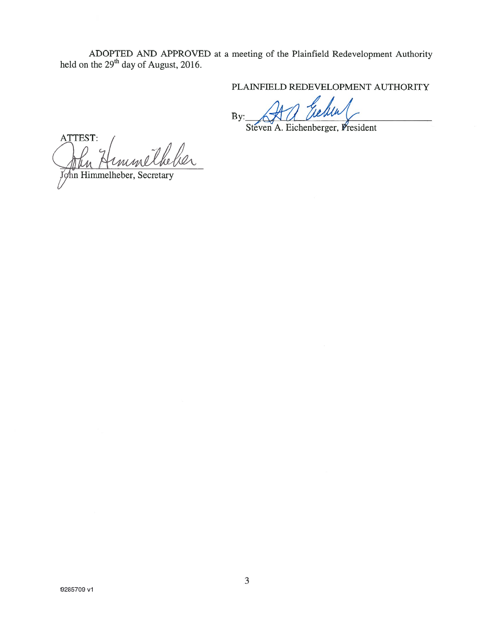ADOPTED AND APPROVED at <sup>a</sup> meeting of the Plainfield Redevelopment Authority held on the  $29<sup>th</sup>$  day of August, 2016.

PLAINFIELD REDEVELOPMENT AUTHORITY

 $By: \triangle X \cup M$  we we will

Steven A. Eichenberger, President

ATTEST: John Himmelheber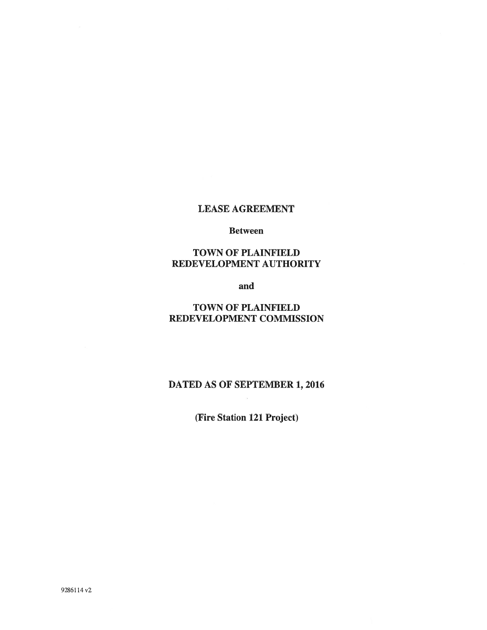#### LEASE AGREEMENT

#### Between

## TOWN OF PLAINFIELD REDEVELOPMENT AUTHORITY

and

## TOWN OF PLAINFIELD REDEVELOPMENT COMMISSION

# DATED AS OF SEPTEMBER 1, 2016

(Fire Station 121 Project)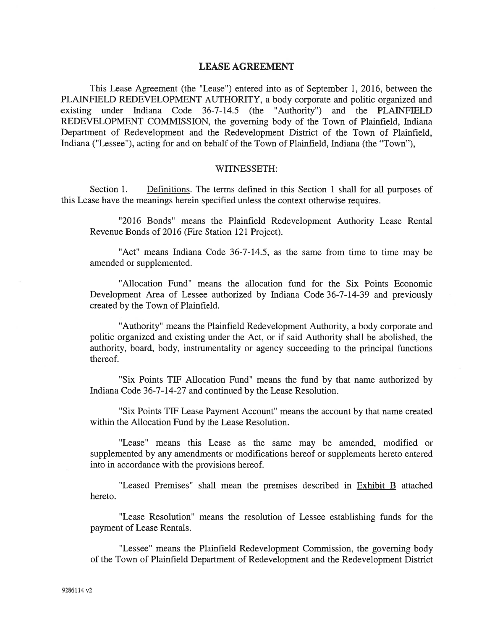#### LEASE AGREEMENT

This Lease Agreement (the "Lease") entered into as of September 1, 2016, between the PLAINFIELD REDEVELOPMENT AUTHORITY, <sup>a</sup> body corporate and politic organized and existing under Indiana Code 36-7-14.5 (the "Authority') and the PLAINFIELD REDEVELOPMENT COMMISSION, the governing body of the Town of Plainfield, Indiana Department of Redevelopment and the Redevelopment District of the Town of Plainfield, Indiana ("Lessee"), acting for and on behalf of the Town of Plainfield, Indiana (the "Town"),

#### WTTNESSETH:

Section 1. Definitions. The terms defined in this Section 1 shall for all purposes of this Lease have the meanings herein specified unless the context otherwise requires.

"2016 Bonds" means the Plainfield Redevelopment Authority Lease Rental Revenue Bonds of 2016 (Fire Station 121 Project).

"Act" means Indiana Code 36-7-14.5, as the same from time to time may be amended or supplemented.

"Allocation Fund" means the allocation fund for the Six Points Economic Development Area of Lessee authorized by Indiana Code 36-7-14-39 and previously created by the Town of Plainfield.

"Authority" means the Plainfield Redevelopment Authority, <sup>a</sup> body corporate and politic organized and existing under the Act, or if said Authority shall be abolished, the authority, board, body, instrumentality or agency succeeding to the principal functions thereof.

"Six Points TIP Allocation Fund" means the fund by that name authorized by Indiana Code 36-7-14-27 and continued by the Lease Resolution.

"Six Points TIP Lease Payment Account" means the account by that name created within the Allocation Fund by the Lease Resolution.

"Lease" means this Lease as the same may be amended, modified or supplemented by any amendments or modifications hereof or supplements hereto entered into in accordance with the provisions hereof.

"Leased Premises" shall mean the premises described in **Exhibit B** attached hereto.

"Lease Resolution" means the resolution of Lessee establishing funds for the paymen<sup>t</sup> of Lease Rentals.

"Lessee" means the Plainfield Redevelopment Commission, the governing body of the Town of Plainfield Department of Redevelopment and the Redevelopment District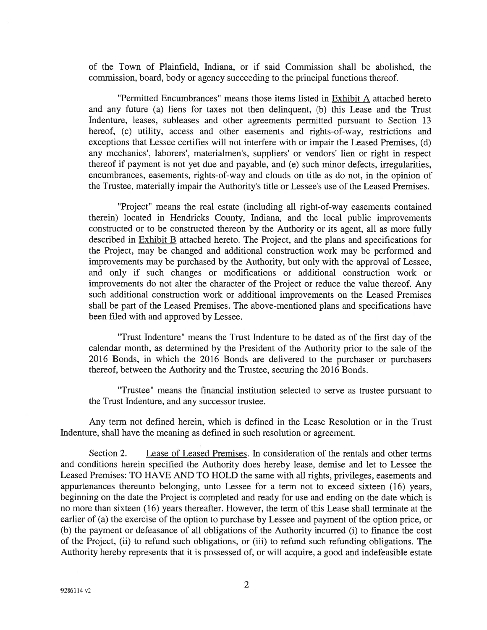of the Town of Plainfield, Indiana, or if said Commission shall be abolished, the commission, board, body or agency succeeding to the principal functions thereof.

"Permitted Encumbrances" means those items listed in Exhibit A attached hereto and any future (a) liens for taxes not then delinquent, (b) this Lease and the Trust Indenture, leases, subleases and other agreements permitted pursuan<sup>t</sup> to Section 13 hereof, (c) utility, access and other easements and rights-of-way, restrictions and exceptions that Lessee certifies will not interfere with or impair the Leased Premises, (d) any mechanics', laborers', materialmen's, suppliers' or vendors' lien or right in respec<sup>t</sup> thereof if paymen<sup>t</sup> is not ye<sup>t</sup> due and payable, and (e) such minor defects, irregularities, encumbrances, easements, rights-of-way and clouds on title as do not, in the opinion of the Trustee, materially impair the Authority's title or Lessee's use of the Leased Premises.

"Project" means the real estate (including all right-of-way easements contained therein) located in Hendricks County, Indiana, and the local public improvements constructed or to be constructed thereon by the Authority or its agent, all as more fully described in **Exhibit B** attached hereto. The Project, and the plans and specifications for the Project, may be changed and additional construction work may be performed and improvements may be purchased by the Authority, but only with the approval of Lessee, and only if such changes or modifications or additional construction work or improvements do not alter the character of the Project or reduce the value thereof. Any such additional construction work or additional improvements on the Leased Premises shall be par<sup>t</sup> of the Leased Premises. The above-mentioned plans and specifications have been filed with and approved by Lessee.

"Trust Indenture" means the Trust Indenture to be dated as of the first day of the calendar month, as determined by the President of the Authority prior to the sale of the 2016 Bonds, in which the 2016 Bonds are delivered to the purchaser or purchasers thereof, between the Authority and the Trustee, securing the 2016 Bonds.

"Trustee" means the financial institution selected to serve as trustee pursuan<sup>t</sup> to the Trust Indenture, and any successor trustee.

Any term not defined herein, which is defined in the Lease Resolution or in the Trust Indenture, shall have the meaning as defined in such resolution or agreement.

Section 2. Lease of Leased Premises. In consideration of the rentals and other terms and conditions herein specified the Authority does hereby lease, demise and let to Lessee the Leased Premises: TO HAVE AND TO HOLD the same with all rights, privileges, easements and appurtenances thereunto belonging, unto Lessee for <sup>a</sup> term not to exceed sixteen (16) years, beginning on the date the Project is completed and ready for use and ending on the date which is no more than sixteen (16) years thereafter. However, the term of this Lease shall terminate at the earlier of (a) the exercise of the option to purchase by Lessee and paymen<sup>t</sup> of the option price, or (b) the paymen<sup>t</sup> or defeasance of all obligations of the Authority incurred (i) to finance the cost of the Project, (ii) to refund such obligations, or (iii) to refund such refunding obligations. The Authority hereby represents that it is possessed of, or will acquire, <sup>a</sup> good and indefeasible estate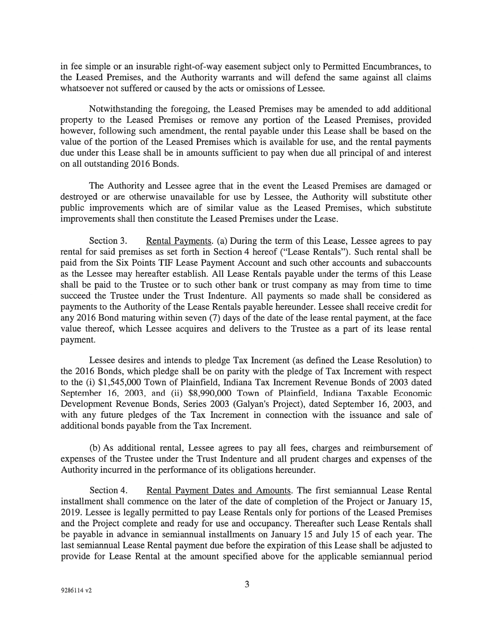in fee simple or an insurable right-of-way easement subject only to Permitted Encumbrances, to the Leased Premises, and the Authority warrants and will defend the same against all claims whatsoever not suffered or caused by the acts or omissions of Lessee.

Notwithstanding the foregoing, the Leased Premises may be amended to add additional property to the Leased Premises or remove any portion of the Leased Premises, provided however, following such amendment, the rental payable under this Lease shall be based on the value of the portion of the Leased Premises which is available for use, and the rental payments due under this Lease shall be in amounts sufficient to pay when due all principal of and interest on all outstanding 2016 Bonds.

The Authority and Lessee agree that in the event the Leased Premises are damaged or destroyed or are otherwise unavailable for use by Lessee, the Authority will substitute other public improvements which are of similar value as the Leased Premises, which substitute improvements shall then constitute the Leased Premises under the Lease.

Section 3. Rental Payments. (a) During the term of this Lease, Lessee agrees to pay rental for said premises as set forth in Section 4 hereof ("Lease Rentals"). Such rental shall be paid from the Six Points TIP Lease Payment Account and such other accounts and subaccounts as the Lessee may hereafter establish. All Lease Rentals payable under the terms of this Lease shall be paid to the Trustee or to such other bank or trust company as may from time to time succeed the Trustee under the Trust Indenture. All payments so made shall be considered as payments to the Authority of the Lease Rentals payable hereunder. Lessee shall receive credit for any 2016 Bond maturing within seven (7) days of the date of the lease rental payment, at the face value thereof, which Lessee acquires and delivers to the Trustee as <sup>a</sup> par<sup>t</sup> of its lease rental payment.

Lessee desires and intends to pledge Tax Increment (as defined the Lease Resolution) to the 2016 Bonds, which pledge shall be on parity with the pledge of Tax Increment with respec<sup>t</sup> to the (i) \$1,545,000 Town of Plainfield, Indiana Tax Increment Revenue Bonds of 2003 dated September 16, 2003, and (ii) \$8,990,000 Town of Plainfield, Indiana Taxable Economic Development Revenue Bonds, Series 2003 (Galyan's Project), dated September 16, 2003, and with any future pledges of the Tax Increment in connection with the issuance and sale of additional bonds payable from the Tax Increment.

(b) As additional rental, Lessee agrees to pay all fees, charges and reimbursement of expenses of the Trustee under the Trust Indenture and all prudent charges and expenses of the Authority incurred in the performance of its obligations hereunder.

Section 4. Rental Payment Dates and Amounts. The first semiannual Lease Rental installment shall commence on the later of the date of completion of the Project or January 15, 2019. Lessee is legally permitted to pay Lease Rentals only for portions of the Leased Premises and the Project complete and ready for use and occupancy. Thereafter such Lease Rentals shall be payable in advance in semiannual installments on January 15 and July 15 of each year. The last semiannual Lease Rental paymen<sup>t</sup> due before the expiration of this Lease shall be adjusted to provide for Lease Rental at the amount specified above for the applicable semiannual period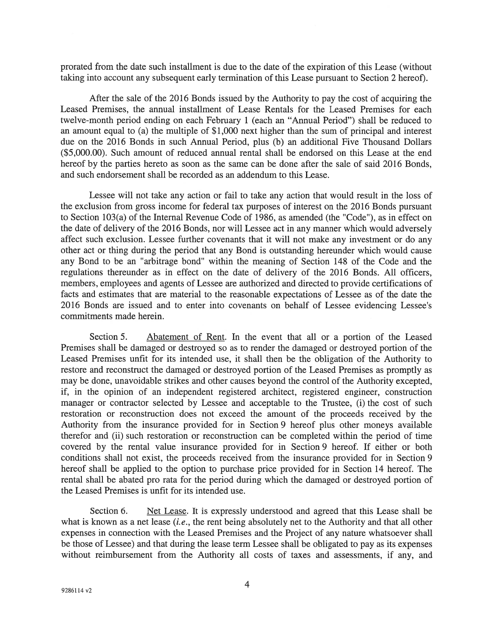prorated from the date such installment is due to the date of the expiration of this Lease (without taking into account any subsequent early termination of this Lease pursuan<sup>t</sup> to Section 2 hereof).

After the sale of the 2016 Bonds issued by the Authority to pay the cost of acquiring the Leased Premises, the annual installment of Lease Rentals for the Leased Premises for each twelve-month period ending on each February 1 (each an "Annual Period") shall be reduced to an amount equal to (a) the multiple of \$1,000 next higher than the sum of principal and interest due on the 2016 Bonds in such Annual Period, plus (b) an additional Five Thousand Dollars (\$5,000.00). Such amount of reduced annual rental shall be endorsed on this Lease at the end hereof by the parties hereto as soon as the same can be done after the sale of said 2016 Bonds, and such endorsement shall be recorded as an addendum to this Lease.

Lessee will not take any action or fail to take any action that would result in the loss of the exclusion from gross income for federal tax purposes of interest on the 2016 Bonds pursuan<sup>t</sup> to Section  $103(a)$  of the Internal Revenue Code of 1986, as amended (the "Code"), as in effect on the date of delivery of the 2016 Bonds, nor will Lessee act in any manner which would adversely affect such exclusion. Lessee further covenants that it will not make any investment or do any other act or thing during the period that any Bond is outstanding hereunder which would cause any Bond to be an "arbitrage bond" within the meaning of Section 148 of the Code and the regulations thereunder as in effect on the date of delivery of the 2016 Bonds. All officers, members, employees and agents of Lessee are authorized and directed to provide certifications of facts and estimates that are material to the reasonable expectations of Lessee as of the date the 2016 Bonds are issued and to enter into covenants on behalf of Lessee evidencing Lessee's commitments made herein.

Section 5. Abatement of Rent. In the event that all or a portion of the Leased Premises shall be damaged or destroyed so as to render the damaged or destroyed portion of the Leased Premises unfit for its intended use, it shall then be the obligation of the Authority to restore and reconstruct the damaged or destroyed portion of the Leased Premises as promptly as may be done, unavoidable strikes and other causes beyond the control of the Authority excepted, if, in the opinion of an independent registered architect, registered engineer, construction manager or contractor selected by Lessee and acceptable to the Trustee, (i) the cost of such restoration or reconstruction does not exceed the amount of the proceeds received by the Authority from the insurance provided for in Section 9 hereof plus other moneys available therefor and (ii) such restoration or reconstruction can be completed within the period of time covered by the rental value insurance provided for in Section 9 hereof. If either or both conditions shall not exist, the proceeds received from the insurance provided for in Section 9 hereof shall be applied to the option to purchase price provided for in Section 14 hereof. The rental shall be abated pro rata for the period during which the damaged or destroyed portion of the Leased Premises is unfit for its intended use.

Section 6. Net Lease. It is expressly understood and agreed that this Lease shall be what is known as a net lease  $(i.e.,$  the rent being absolutely net to the Authority and that all other expenses in connection with the Leased Premises and the Project of any nature whatsoever shall be those of Lessee) and that during the lease term Lessee shall be obligated to pay as its expenses without reimbursement from the Authority all costs of taxes and assessments, if any, and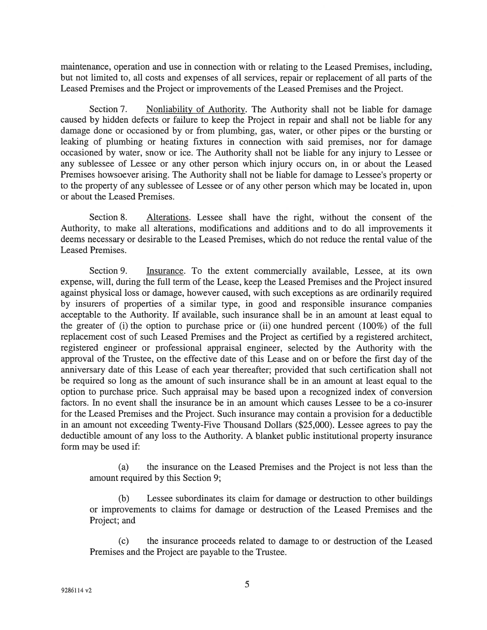maintenance, operation and use in connection with or relating to the Leased Premises, including, but not limited to, all costs and expenses of all services, repair or replacement of all parts of the Leased Premises and the Project or improvements of the Leased Premises and the Project.

Section 7. Nonliability of Authority. The Authority shall not be liable for damage caused by hidden defects or failure to keep the Project in repair and shall not be liable for any damage done or occasioned by or from plumbing, gas, water, or other pipes or the bursting or leaking of plumbing or heating fixtures in connection with said premises, nor for damage occasioned by water, snow or ice. The Authority shall not be liable for any injury to Lessee or any sublessee of Lessee or any other person which injury occurs on, in or about the Leased Premises howsoever arising. The Authority shall not be liable for damage to Lessee's property or to the property of any sublessee of Lessee or of any other person which may be located in, upon or about the Leased Premises.

Section 8. Alterations. Lessee shall have the right, without the consent of the Authority, to make all alterations, modifications and additions and to do all improvements it deems necessary or desirable to the Leased Premises, which do not reduce the rental value of the Leased Premises.

Section 9. Insurance. To the extent commercially available, Lessee, at its own expense, will, during the full term of the Lease, keep the Leased Premises and the Project insured against physical loss or damage, however caused, with such exceptions as are ordinarily required by insurers of properties of <sup>a</sup> similar type, in good and responsible insurance companies acceptable to the Authority. If available, such insurance shall be in an amount at least equal to the greater of (i) the option to purchase price or (ii) one hundred percen<sup>t</sup> (100%) of the full replacement cost of such Leased Premises and the Project as certified by <sup>a</sup> registered architect, registered engineer or professional appraisal engineer, selected by the Authority with the approval of the Trustee, on the effective date of this Lease and on or before the first day of the anniversary date of this Lease of each year thereafter; provided that such certification shall not be required so long as the amount of such insurance shall be in an amount at least equal to the option to purchase price. Such appraisal may be based upon <sup>a</sup> recognized index of conversion factors. In no event shall the insurance be in an amount which causes Lessee to be <sup>a</sup> co-insurer for the Leased Premises and the Project. Such insurance may contain <sup>a</sup> provision for <sup>a</sup> deductible in an amount not exceeding Twenty-Five Thousand Dollars (\$25,000). Lessee agrees to pay the deductible amount of any loss to the Authority. A blanket public institutional property insurance form may be used if:

(a) the insurance on the Leased Premises and the Project is not less than the amount required by this Section 9;

(b) Lessee subordinates its claim for damage or destruction to other buildings or improvements to claims for damage or destruction of the Leased Premises and the Project; and

(c) the insurance proceeds related to damage to or destruction of the Leased Premises and the Project are payable to the Trustee.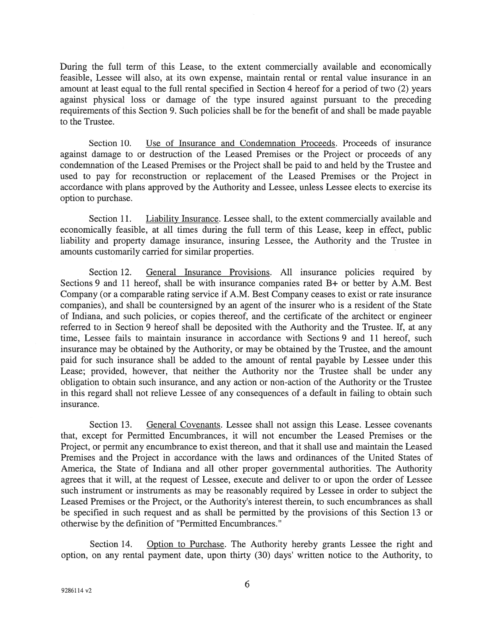During the full term of this Lease, to the extent commercially available and economically feasible, Lessee will also, at its own expense, maintain rental or rental value insurance in an amount at least equal to the full rental specified in Section 4 hereof for <sup>a</sup> period of two (2) years against physical loss or damage of the type insured against pursuan<sup>t</sup> to the preceding requirements of this Section 9. Such policies shall be for the benefit of and shall be made payable to the Trustee.

Section 10. Use of Insurance and Condemnation Proceeds. Proceeds of insurance against damage to or destruction of the Leased Premises or the Project or proceeds of any condemnation of the Leased Premises or the Project shall be paid to and held by the Trustee and used to pay for reconstruction or replacement of the Leased Premises or the Project in accordance with plans approved by the Authority and Lessee, unless Lessee elects to exercise its option to purchase.

Section 11. Liability Insurance. Lessee shall, to the extent commercially available and economically feasible, at all times during the full term of this Lease, keep in effect, public liability and property damage insurance, insuring Lessee, the Authority and the Trustee in amounts customarily carried for similar properties.

Section 12. General Insurance Provisions. All insurance policies required by Sections 9 and 11 hereof, shall be with insurance companies rated B+ or better by A.M. Best Company (or <sup>a</sup> comparable rating service if A.M. Best Company ceases to exist or rate insurance companies), and shall be countersigned by an agen<sup>t</sup> of the insurer who is <sup>a</sup> resident of the State of Indiana, and such policies, or copies thereof, and the certificate of the architect or engineer referred to in Section 9 hereof shall be deposited with the Authority and the Trustee. If, at any time, Lessee fails to maintain insurance in accordance with Sections 9 and 11 hereof, such insurance may be obtained by the Authority, or may be obtained by the Trustee, and the amount paid for such insurance shall be added to the amount of rental payable by Lessee under this Lease; provided, however, that neither the Authority nor the Trustee shall be under any obligation to obtain such insurance, and any action or non-action of the Authority or the Trustee in this regard shall not relieve Lessee of any consequences of <sup>a</sup> default in failing to obtain such insurance.

Section 13. General Covenants. Lessee shall not assign this Lease. Lessee covenants that, excep<sup>t</sup> for Permitted Encumbrances, it will not encumber the Leased Premises or the Project, or permit any encumbrance to exist thereon, and that it shall use and maintain the Leased Premises and the Project in accordance with the laws and ordinances of the United States of America, the State of Indiana and all other proper governmental authorities. The Authority agrees that it will, at the reques<sup>t</sup> of Lessee, execute and deliver to or upon the order of Lessee such instrument or instruments as may be reasonably required by Lessee in order to subject the Leased Premises or the Project, or the Authority's interest therein, to such encumbrances as shall be specified in such reques<sup>t</sup> and as shall be permitted by the provisions of this Section 13 or otherwise by the definition of "Permitted Encumbrances."

Section 14. Option to Purchase. The Authority hereby grants Lessee the right and option, on any rental paymen<sup>t</sup> date, upon thirty (30) days' written notice to the Authority, to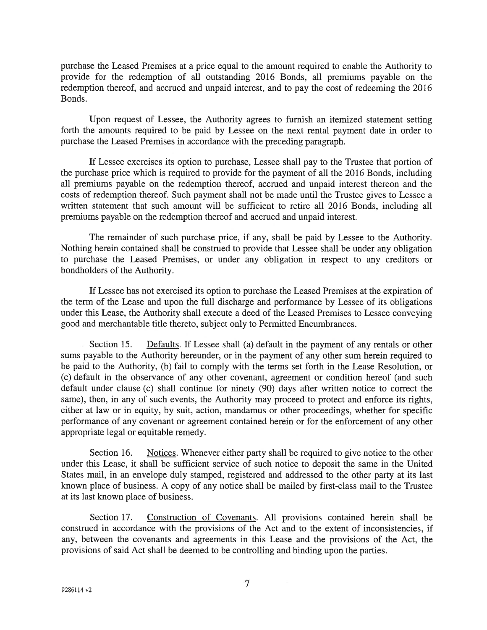purchase the Leased Premises at <sup>a</sup> price equal to the amount required to enable the Authority to provide for the redemption of all outstanding 2016 Bonds, all premiums payable on the redemption thereof, and accrued and unpaid interest, and to pay the cost of redeeming the 2016 Bonds.

Upon reques<sup>t</sup> of Lessee, the Authority agrees to furnish an itemized statement setting forth the amounts required to be paid by Lessee on the next rental paymen<sup>t</sup> date in order to purchase the Leased Premises in accordance with the preceding paragraph.

If Lessee exercises its option to purchase, Lessee shall pay to the Trustee that portion of the purchase price which is required to provide for the paymen<sup>t</sup> of all the 2016 Bonds, including all premiums payable on the redemption thereof, accrued and unpaid interest thereon and the costs of redemption thereof. Such paymen<sup>t</sup> shall not be made until the Trustee gives to Lessee <sup>a</sup> written statement that such amount will be sufficient to retire all 2016 Bonds, including all premiums payable on the redemption thereof and accrued and unpaid interest.

The remainder of such purchase price, if any, shall be paid by Lessee to the Authority. Nothing herein contained shall be construed to provide that Lessee shall be under any obligation to purchase the Leased Premises, or under any obligation in respec<sup>t</sup> to any creditors or bondholders of the Authority.

If Lessee has not exercised its option to purchase the Leased Premises at the expiration of the term of the Lease and upon the full discharge and performance by Lessee of its obligations under this Lease, the Authority shall execute <sup>a</sup> deed of the Leased Premises to Lessee conveying good and merchantable title thereto, subject only to Permitted Encumbrances.

Section 15. Defaults. If Lessee shall (a) default in the payment of any rentals or other sums payable to the Authority hereunder, or in the paymen<sup>t</sup> of any other sum herein required to be paid to the Authority, (b) fail to comply with the terms set forth in the Lease Resolution, or (c) default in the observance of any other covenant, agreemen<sup>t</sup> or condition hereof (and such default under clause (c) shall continue for ninety (90) days after written notice to correct the same), then, in any of such events, the Authority may proceed to protect and enforce its rights, either at law or in equity, by suit, action, mandamus or other proceedings, whether for specific performance of any covenant or agreemen<sup>t</sup> contained herein or for the enforcement of any other appropriate legal or equitable remedy.

Section 16. Notices. Whenever either party shall be required to give notice to the other under this Lease, it shall be sufficient service of such notice to deposit the same in the United States mail, in an envelope duly stamped, registered and addressed to the other party at its last known place of business. A copy of any notice shall be mailed by first-class mail to the Trustee at its last known place of business.

Section 17. Construction of Covenants. All provisions contained herein shall be construed in accordance with the provisions of the Act and to the extent of inconsistencies, if any, between the covenants and agreements in this Lease and the provisions of the Act, the provisions of said Act shall be deemed to be controlling and binding upon the parties.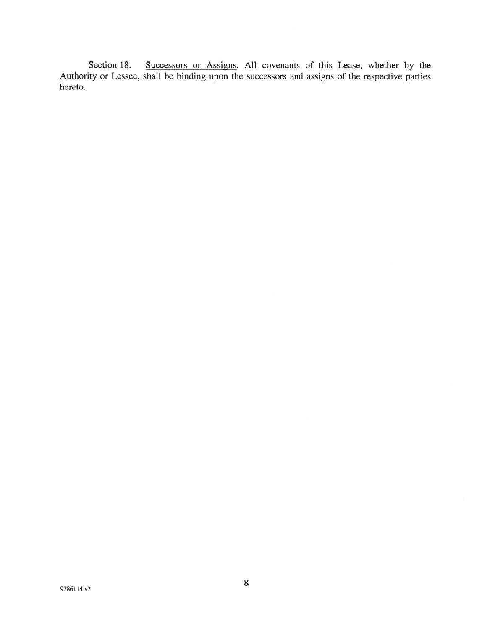Section 18. Successors or Assigns. All covenants of this Lease, whether by the Authority or Lessee, shall be binding upon the successors and assigns of the respective parties hereto.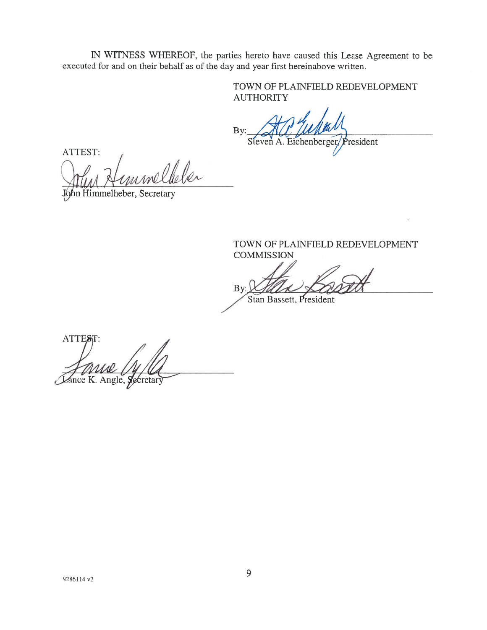IN WITNESS WHEREOF, the parties hereto have caused this Lease Agreement to be executed for and on their behalf as of the day and year first hereinabove written.

> TOWN OF PLAINFIELD REDEVELOPMENT AUTHORITY

By:  $\triangle A \triangle L$   $\triangle W$ Steven A. Eichenberger, President

ATTEST unelleler  $\mu$ 

John Himmelheber, Secretary

TOWN OF PLALNFIELD REDEVELOPMENT **COMMISSION** 

By:  $MULA \times QAD$ 

Stan Bassett, President

ATTEST: Krew C. Here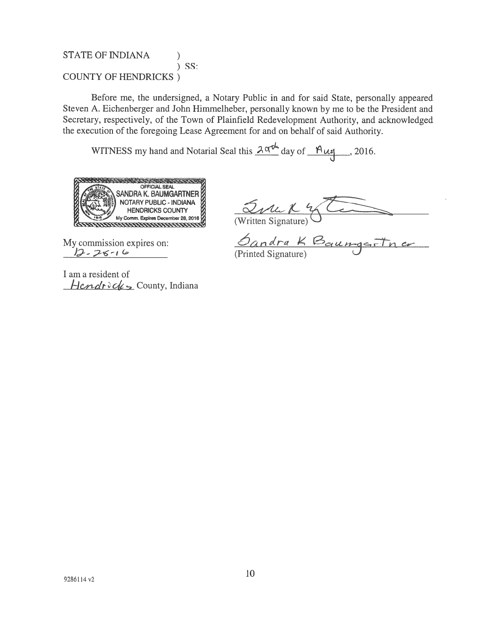## STATE OF INDIANA (1) ) SS: COUNTY OF HENDRICKS)

Before me, the undersigned, <sup>a</sup> Notary Public in and for said State, personally appeared Steven A. Eichenberger and John Himmeiheber, personally known by me to be the President and Secretary, respectively, of the Town of Plainfield Redevelopment Authority, and acknowledged the execution of the foregoing Lease Agreement for and on behalf of said Authority.

WITNESS my hand and Notarial Seal this  $2 \alpha t^{l}$  day of  $\frac{\mu_{l}}{l}$ , 2016.



My commission expires on:  $\mathcal{Q}_{\text{Andra}}$   $K \boxtimes_{\text{gcd}}$  $2 \cdot 76 - 6$  (Printed Signature)

I am <sup>a</sup> resident of  $Hendr\partial \alpha$  County, Indiana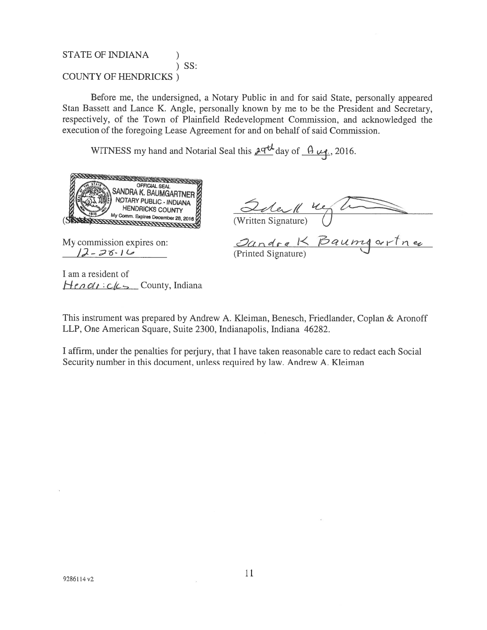### STATE OF INDIANA ) SS: COUNTY OF HENDRICKS)

Before me, the undersigned, <sup>a</sup> Notary Public in and for said State, personally appeared Stan Bassett and Lance K. Angle, personally known by me to be the President and Secretary, respectively, of the Town of Plainfield Redevelopment Commission, and acknowledged the execution of the foregoing Lease Agreement for and on behalf of said Commission.

WITNESS my hand and Notarial Seal this  $\frac{\partial \mathcal{A}}{\partial \mathcal{A}}$  day of  $\frac{\partial \mathcal{A}}{\partial \mathcal{A}}$ ., 2016.



Quel 4

— 2 6 I -

My commission expires on:  $\partial a \wedge d \circ e \nmid \leq \beta a \vee e$ (Printed Signature)

I am <sup>a</sup> resident of  $H$ enclicks County, Indiana

This instrument was prepared by Andrew A. Kleiman, Benesch, Friedlander, Coplan & Aronoff LLP, One American Square, Suite 2300, Indianapolis, Indiana 46282.

I affirm, under the penalties for perjury, that I have taken reasonable care to redact each Social Security number in this document, unless required by law. Andrew A. Kleiman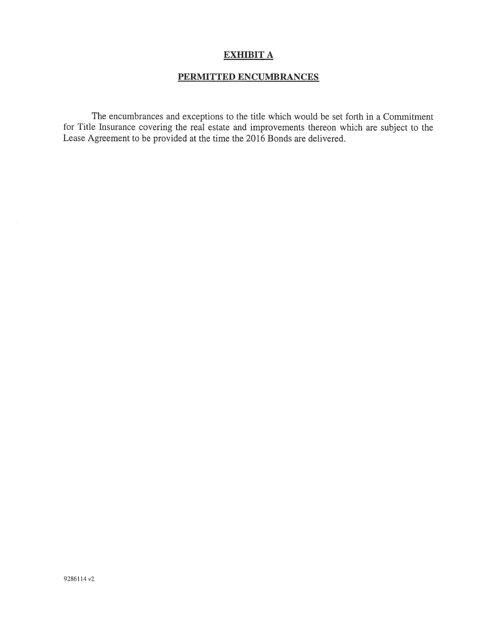## EXHIBIT A

# PERMITTED ENCUMBRANCES

The encumbrances and exceptions to the title which would be set forth in <sup>a</sup> Commitment for Title Insurance covering the real estate and improvements thereon which are subject to the Lease Agreement to be provided at the time the 2016 Bonds are delivered.